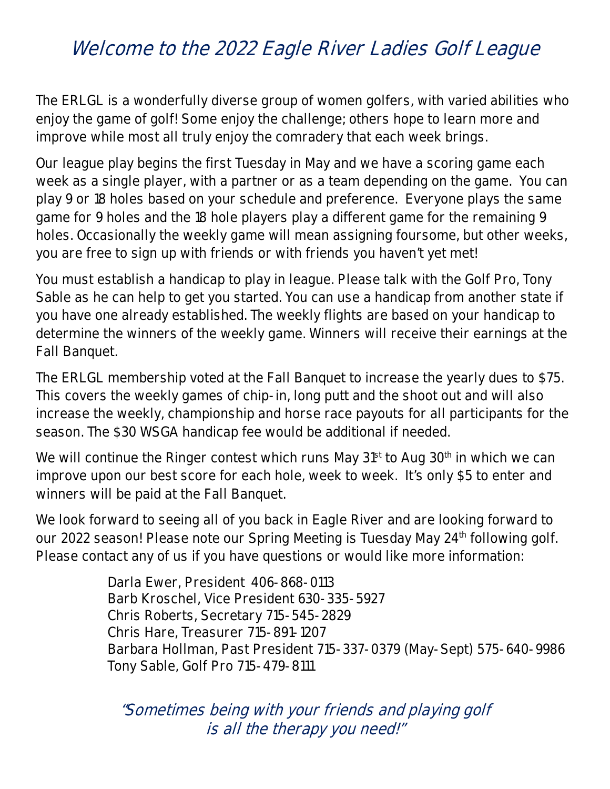## **Welcome to the 2022 Eagle River Ladies Golf League**

**The ERLGL is a wonderfully diverse group of women golfers, with varied abilities who enjoy the game of golf! Some enjoy the challenge; others hope to learn more and improve while most all truly enjoy the comradery that each week brings.** 

**Our league play begins the first Tuesday in May and we have a scoring game each week as a single player, with a partner or as a team depending on the game. You can play 9 or 18 holes based on your schedule and preference. Everyone plays the same game for 9 holes and the 18 hole players play a different game for the remaining 9 holes. Occasionally the weekly game will mean assigning foursome, but other weeks, you are free to sign up with friends or with friends you haven't yet met!** 

**You must establish a handicap to play in league. Please talk with the Golf Pro, Tony Sable as he can help to get you started. You can use a handicap from another state if you have one already established. The weekly flights are based on your handicap to determine the winners of the weekly game. Winners will receive their earnings at the Fall Banquet.** 

**The ERLGL membership voted at the Fall Banquet to increase the yearly dues to \$75. This covers the weekly games of chip-in, long putt and the shoot out and will also increase the weekly, championship and horse race payouts for all participants for the season. The \$30 WSGA handicap fee would be additional if needed.** 

We will continue the Ringer contest which runs May 31<sup>st</sup> to Aug 30<sup>th</sup> in which we can **improve upon our best score for each hole, week to week. It's only \$5 to enter and winners will be paid at the Fall Banquet.** 

**We look forward to seeing all of you back in Eagle River and are looking forward to**  our 2022 season! Please note our Spring Meeting is Tuesday May 24<sup>th</sup> following golf. **Please contact any of us if you have questions or would like more information:** 

> **Darla Ewer, President 406-868-0113 Barb Kroschel, Vice President 630-335-5927 Chris Roberts, Secretary 715-545-2829 Chris Hare, Treasurer 715-891-1207 Barbara Hollman, Past President 715-337-0379 (May-Sept) 575-640-9986 Tony Sable, Golf Pro 715-479-8111**

**"Sometimes being with your friends and playing golf is all the therapy you need!"**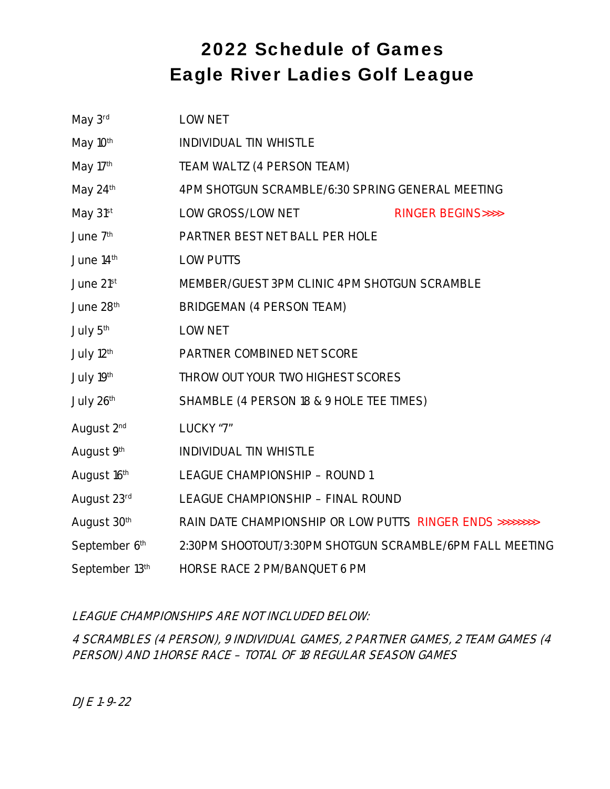## 2022 Schedule of Games Eagle River Ladies Golf League

| May 3rd                | <b>LOW NET</b>                                                   |  |  |
|------------------------|------------------------------------------------------------------|--|--|
| May 10 <sup>th</sup>   | <b>INDIVIDUAL TIN WHISTLE</b>                                    |  |  |
| May 17th               | <b>TEAM WALTZ (4 PERSON TEAM)</b>                                |  |  |
| May 24th               | 4PM SHOTGUN SCRAMBLE/6:30 SPRING GENERAL MEETING                 |  |  |
| May 31st               | <b>LOW GROSS/LOW NET</b><br><b>RINGER BEGINS&gt;&gt;&gt;&gt;</b> |  |  |
| June 7 <sup>th</sup>   | PARTNER BEST NET BALL PER HOLE                                   |  |  |
| June 14th              | <b>LOW PUTTS</b>                                                 |  |  |
| June 21st              | MEMBER/GUEST 3PM CLINIC 4PM SHOTGUN SCRAMBLE                     |  |  |
| June 28 <sup>th</sup>  | <b>BRIDGEMAN (4 PERSON TEAM)</b>                                 |  |  |
| July 5 <sup>th</sup>   | <b>LOW NET</b>                                                   |  |  |
| July 12 <sup>th</sup>  | PARTNER COMBINED NET SCORE                                       |  |  |
| July 19th              | <b>THROW OUT YOUR TWO HIGHEST SCORES</b>                         |  |  |
| July 26th              | SHAMBLE (4 PERSON 18 & 9 HOLE TEE TIMES)                         |  |  |
| August 2 <sup>nd</sup> | LUCKY "7"                                                        |  |  |
| August 9th             | <b>INDIVIDUAL TIN WHISTLE</b>                                    |  |  |
| August 16th            | <b>LEAGUE CHAMPIONSHIP - ROUND 1</b>                             |  |  |
| August 23rd            | <b>LEAGUE CHAMPIONSHIP - FINAL ROUND</b>                         |  |  |
| August 30th            | RAIN DATE CHAMPIONSHIP OR LOW PUTTS RINGER ENDS >>>>>>>>>        |  |  |
| September 6th          | 2:30PM SHOOTOUT/3:30PM SHOTGUN SCRAMBLE/6PM FALL MEETING         |  |  |
| September 13th         | <b>HORSE RACE 2 PM/BANQUET 6 PM</b>                              |  |  |

## **LEAGUE CHAMPIONSHIPS ARE NOT INCLUDED BELOW:**

**4 SCRAMBLES (4 PERSON), 9 INDIVIDUAL GAMES, 2 PARTNER GAMES, 2 TEAM GAMES (4 PERSON) AND 1 HORSE RACE – TOTAL OF 18 REGULAR SEASON GAMES** 

**DJE 1-9-22**